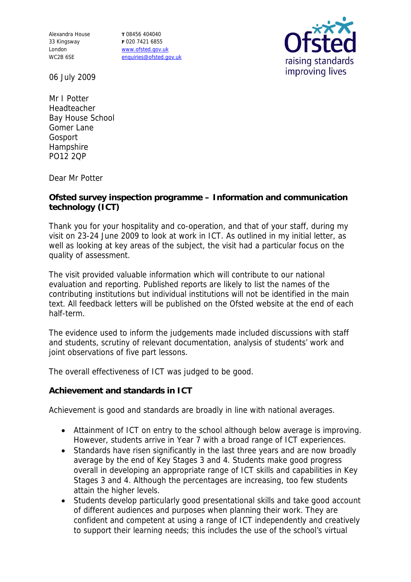Alexandra House 33 Kingsway London WC2B 6SE

**T** 08456 404040 **F** 020 7421 6855 www.ofsted.gov.uk enquiries@ofsted.gov.uk



06 July 2009

Mr I Potter Headteacher Bay House School Gomer Lane Gosport Hampshire PO12 2QP

Dear Mr Potter

**Ofsted survey inspection programme – Information and communication technology (ICT)**

Thank you for your hospitality and co-operation, and that of your staff, during my visit on 23-24 June 2009 to look at work in ICT. As outlined in my initial letter, as well as looking at key areas of the subject, the visit had a particular focus on the quality of assessment.

The visit provided valuable information which will contribute to our national evaluation and reporting. Published reports are likely to list the names of the contributing institutions but individual institutions will not be identified in the main text. All feedback letters will be published on the Ofsted website at the end of each half-term.

The evidence used to inform the judgements made included discussions with staff and students, scrutiny of relevant documentation, analysis of students' work and joint observations of five part lessons.

The overall effectiveness of ICT was judged to be good.

**Achievement and standards in ICT**

Achievement is good and standards are broadly in line with national averages.

- Attainment of ICT on entry to the school although below average is improving. However, students arrive in Year 7 with a broad range of ICT experiences.
- Standards have risen significantly in the last three years and are now broadly average by the end of Key Stages 3 and 4. Students make good progress overall in developing an appropriate range of ICT skills and capabilities in Key Stages 3 and 4. Although the percentages are increasing, too few students attain the higher levels.
- Students develop particularly good presentational skills and take good account of different audiences and purposes when planning their work. They are confident and competent at using a range of ICT independently and creatively to support their learning needs; this includes the use of the school's virtual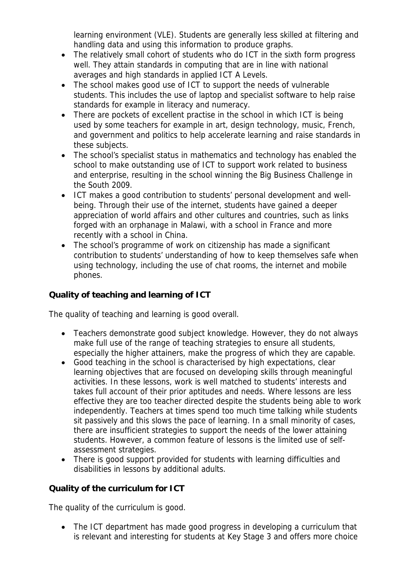learning environment (VLE). Students are generally less skilled at filtering and handling data and using this information to produce graphs.

- The relatively small cohort of students who do ICT in the sixth form progress well. They attain standards in computing that are in line with national averages and high standards in applied ICT A Levels.
- The school makes good use of ICT to support the needs of vulnerable students. This includes the use of laptop and specialist software to help raise standards for example in literacy and numeracy.
- There are pockets of excellent practise in the school in which ICT is being used by some teachers for example in art, design technology, music, French, and government and politics to help accelerate learning and raise standards in these subjects.
- The school's specialist status in mathematics and technology has enabled the school to make outstanding use of ICT to support work related to business and enterprise, resulting in the school winning the Big Business Challenge in the South 2009.
- ICT makes a good contribution to students' personal development and wellbeing. Through their use of the internet, students have gained a deeper appreciation of world affairs and other cultures and countries, such as links forged with an orphanage in Malawi, with a school in France and more recently with a school in China.
- The school's programme of work on citizenship has made a significant contribution to students' understanding of how to keep themselves safe when using technology, including the use of chat rooms, the internet and mobile phones.

**Quality of teaching and learning of ICT**

The quality of teaching and learning is good overall.

- Teachers demonstrate good subject knowledge. However, they do not always make full use of the range of teaching strategies to ensure all students, especially the higher attainers, make the progress of which they are capable.
- Good teaching in the school is characterised by high expectations, clear learning objectives that are focused on developing skills through meaningful activities. In these lessons, work is well matched to students' interests and takes full account of their prior aptitudes and needs. Where lessons are less effective they are too teacher directed despite the students being able to work independently. Teachers at times spend too much time talking while students sit passively and this slows the pace of learning. In a small minority of cases, there are insufficient strategies to support the needs of the lower attaining students. However, a common feature of lessons is the limited use of selfassessment strategies.
- There is good support provided for students with learning difficulties and disabilities in lessons by additional adults.

**Quality of the curriculum for ICT**

The quality of the curriculum is good.

• The ICT department has made good progress in developing a curriculum that is relevant and interesting for students at Key Stage 3 and offers more choice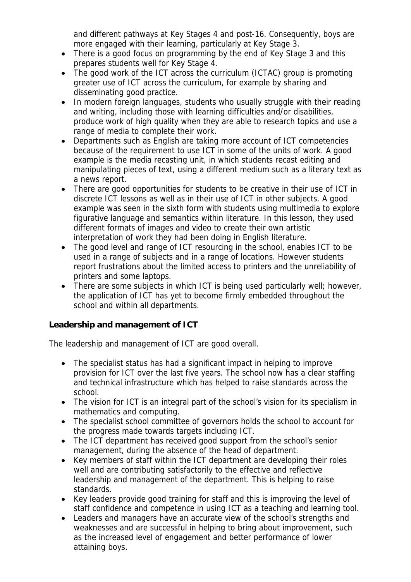and different pathways at Key Stages 4 and post-16. Consequently, boys are more engaged with their learning, particularly at Key Stage 3.

- There is a good focus on programming by the end of Key Stage 3 and this prepares students well for Key Stage 4.
- The good work of the ICT across the curriculum (ICTAC) group is promoting greater use of ICT across the curriculum, for example by sharing and disseminating good practice.
- In modern foreign languages, students who usually struggle with their reading and writing, including those with learning difficulties and/or disabilities, produce work of high quality when they are able to research topics and use a range of media to complete their work.
- Departments such as English are taking more account of ICT competencies because of the requirement to use ICT in some of the units of work. A good example is the media recasting unit, in which students recast editing and manipulating pieces of text, using a different medium such as a literary text as a news report.
- There are good opportunities for students to be creative in their use of ICT in discrete ICT lessons as well as in their use of ICT in other subjects. A good example was seen in the sixth form with students using multimedia to explore figurative language and semantics within literature. In this lesson, they used different formats of images and video to create their own artistic interpretation of work they had been doing in English literature.
- The good level and range of ICT resourcing in the school, enables ICT to be used in a range of subjects and in a range of locations. However students report frustrations about the limited access to printers and the unreliability of printers and some laptops.
- There are some subjects in which ICT is being used particularly well; however, the application of ICT has yet to become firmly embedded throughout the school and within all departments.

**Leadership and management of ICT**

The leadership and management of ICT are good overall.

- The specialist status has had a significant impact in helping to improve provision for ICT over the last five years. The school now has a clear staffing and technical infrastructure which has helped to raise standards across the school.
- The vision for ICT is an integral part of the school's vision for its specialism in mathematics and computing.
- The specialist school committee of governors holds the school to account for the progress made towards targets including ICT.
- The ICT department has received good support from the school's senior management, during the absence of the head of department.
- Key members of staff within the ICT department are developing their roles well and are contributing satisfactorily to the effective and reflective leadership and management of the department. This is helping to raise standards.
- Key leaders provide good training for staff and this is improving the level of staff confidence and competence in using ICT as a teaching and learning tool.
- Leaders and managers have an accurate view of the school's strengths and weaknesses and are successful in helping to bring about improvement, such as the increased level of engagement and better performance of lower attaining boys.